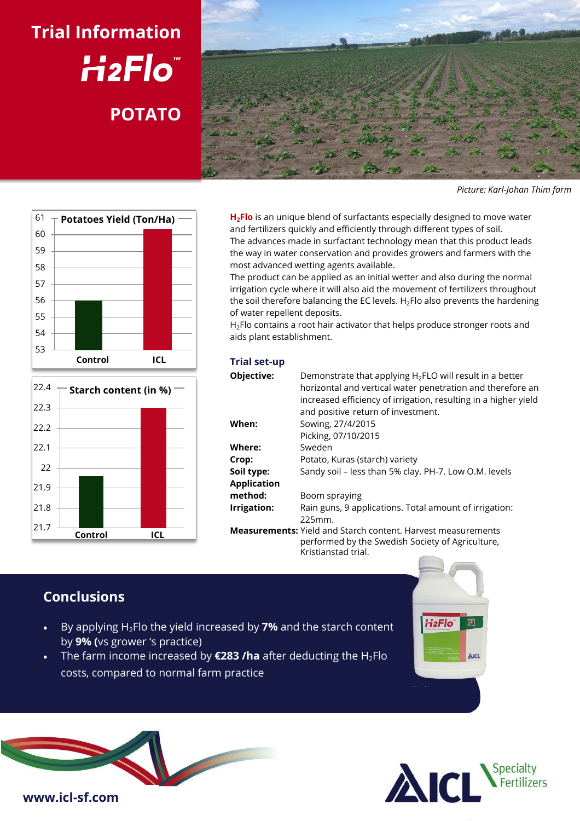# **Trial Information** H<sub>2</sub>Flo **POTATO**



*Picture: Karl-Johan Thim farm*





**H2Flo** is an unique blend of surfactants especially designed to move water and fertilizers quickly and efficiently through different types of soil. The advances made in surfactant technology mean that this product leads the way in water conservation and provides growers and farmers with the most advanced wetting agents available.

The product can be applied as an initial wetter and also during the normal irrigation cycle where it will also aid the movement of fertilizers throughout the soil therefore balancing the EC levels.  $H_2$ Flo also prevents the hardening of water repellent deposits.

H<sub>2</sub>Flo contains a root hair activator that helps produce stronger roots and aids plant establishment.

#### **Trial set-up**

| Objective:         | Demonstrate that applying $H_2$ FLO will result in a better<br>horizontal and vertical water penetration and therefore an<br>increased efficiency of irrigation, resulting in a higher yield<br>and positive return of investment. |
|--------------------|------------------------------------------------------------------------------------------------------------------------------------------------------------------------------------------------------------------------------------|
| When:              | Sowing, 27/4/2015                                                                                                                                                                                                                  |
|                    | Picking, 07/10/2015                                                                                                                                                                                                                |
| Where:             | Sweden                                                                                                                                                                                                                             |
| Crop:              | Potato, Kuras (starch) variety                                                                                                                                                                                                     |
| Soil type:         | Sandy soil - less than 5% clay. PH-7. Low O.M. levels                                                                                                                                                                              |
| <b>Application</b> |                                                                                                                                                                                                                                    |
| method:            | Boom spraying                                                                                                                                                                                                                      |
| Irrigation:        | Rain guns, 9 applications. Total amount of irrigation:                                                                                                                                                                             |
|                    | 225mm.                                                                                                                                                                                                                             |
|                    | <b>Measurements:</b> Yield and Starch content. Harvest measurements<br>performed by the Swedish Society of Agriculture,<br>Kristianstad trial.                                                                                     |

# **Conclusions**

- By applying H2Flo the yield increased by **7%** and the starch content by **9% (**vs grower 's practice)
- The farm income increased by **€283 /ha** after deducting the H2Flo costs, compared to normal farm practice





AICL

**H<sub>2</sub>Flo<sup>®</sup>**